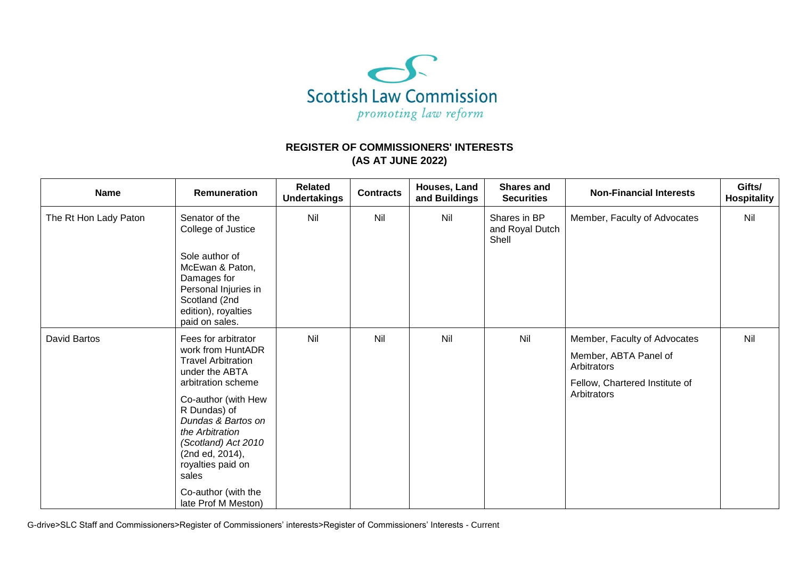

## **REGISTER OF COMMISSIONERS' INTERESTS (AS AT JUNE 2022)**

| <b>Name</b>           | <b>Remuneration</b>                                                                                                                | <b>Related</b><br><b>Undertakings</b> | <b>Contracts</b> | Houses, Land<br>and Buildings | <b>Shares and</b><br><b>Securities</b>   | <b>Non-Financial Interests</b>       | Gifts/<br><b>Hospitality</b> |
|-----------------------|------------------------------------------------------------------------------------------------------------------------------------|---------------------------------------|------------------|-------------------------------|------------------------------------------|--------------------------------------|------------------------------|
| The Rt Hon Lady Paton | Senator of the<br>College of Justice                                                                                               | Nil                                   | Nil              | Nil                           | Shares in BP<br>and Royal Dutch<br>Shell | Member, Faculty of Advocates         | Nil                          |
|                       | Sole author of<br>McEwan & Paton,<br>Damages for<br>Personal Injuries in<br>Scotland (2nd<br>edition), royalties<br>paid on sales. |                                       |                  |                               |                                          |                                      |                              |
| <b>David Bartos</b>   | Fees for arbitrator<br>work from HuntADR<br><b>Travel Arbitration</b><br>under the ABTA<br>arbitration scheme                      | Nil                                   | Nil              | Nil                           | Nil                                      | Member, Faculty of Advocates         | Nil                          |
|                       |                                                                                                                                    |                                       |                  |                               |                                          | Member, ABTA Panel of<br>Arbitrators |                              |
|                       |                                                                                                                                    |                                       |                  |                               |                                          | Fellow, Chartered Institute of       |                              |
|                       | Co-author (with Hew<br>R Dundas) of                                                                                                |                                       |                  |                               |                                          | Arbitrators                          |                              |
|                       | Dundas & Bartos on<br>the Arbitration                                                                                              |                                       |                  |                               |                                          |                                      |                              |
|                       | (Scotland) Act 2010<br>(2nd ed, 2014),                                                                                             |                                       |                  |                               |                                          |                                      |                              |
|                       | royalties paid on<br>sales                                                                                                         |                                       |                  |                               |                                          |                                      |                              |
|                       | Co-author (with the<br>late Prof M Meston)                                                                                         |                                       |                  |                               |                                          |                                      |                              |

G-drive>SLC Staff and Commissioners>Register of Commissioners' interests>Register of Commissioners' Interests - Current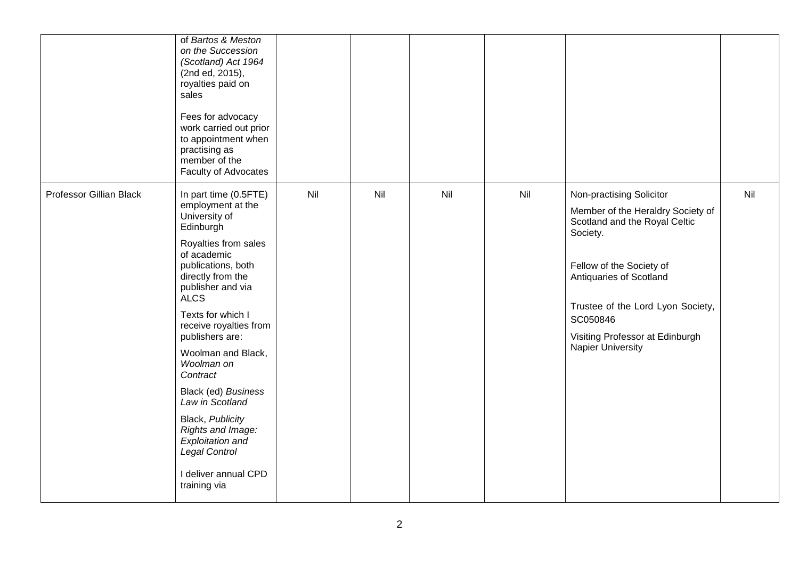|                         | of Bartos & Meston<br>on the Succession<br>(Scotland) Act 1964<br>(2nd ed, 2015),<br>royalties paid on<br>sales<br>Fees for advocacy<br>work carried out prior<br>to appointment when<br>practising as<br>member of the<br>Faculty of Advocates                                                                                                                                                                                                                                         |     |     |     |     |                                                                                                                                                                                                                                                                                   |     |
|-------------------------|-----------------------------------------------------------------------------------------------------------------------------------------------------------------------------------------------------------------------------------------------------------------------------------------------------------------------------------------------------------------------------------------------------------------------------------------------------------------------------------------|-----|-----|-----|-----|-----------------------------------------------------------------------------------------------------------------------------------------------------------------------------------------------------------------------------------------------------------------------------------|-----|
| Professor Gillian Black | In part time (0.5FTE)<br>employment at the<br>University of<br>Edinburgh<br>Royalties from sales<br>of academic<br>publications, both<br>directly from the<br>publisher and via<br><b>ALCS</b><br>Texts for which I<br>receive royalties from<br>publishers are:<br>Woolman and Black,<br>Woolman on<br>Contract<br>Black (ed) Business<br>Law in Scotland<br>Black, Publicity<br>Rights and Image:<br>Exploitation and<br><b>Legal Control</b><br>I deliver annual CPD<br>training via | Nil | Nil | Nil | Nil | Non-practising Solicitor<br>Member of the Heraldry Society of<br>Scotland and the Royal Celtic<br>Society.<br>Fellow of the Society of<br>Antiquaries of Scotland<br>Trustee of the Lord Lyon Society,<br>SC050846<br>Visiting Professor at Edinburgh<br><b>Napier University</b> | Nil |